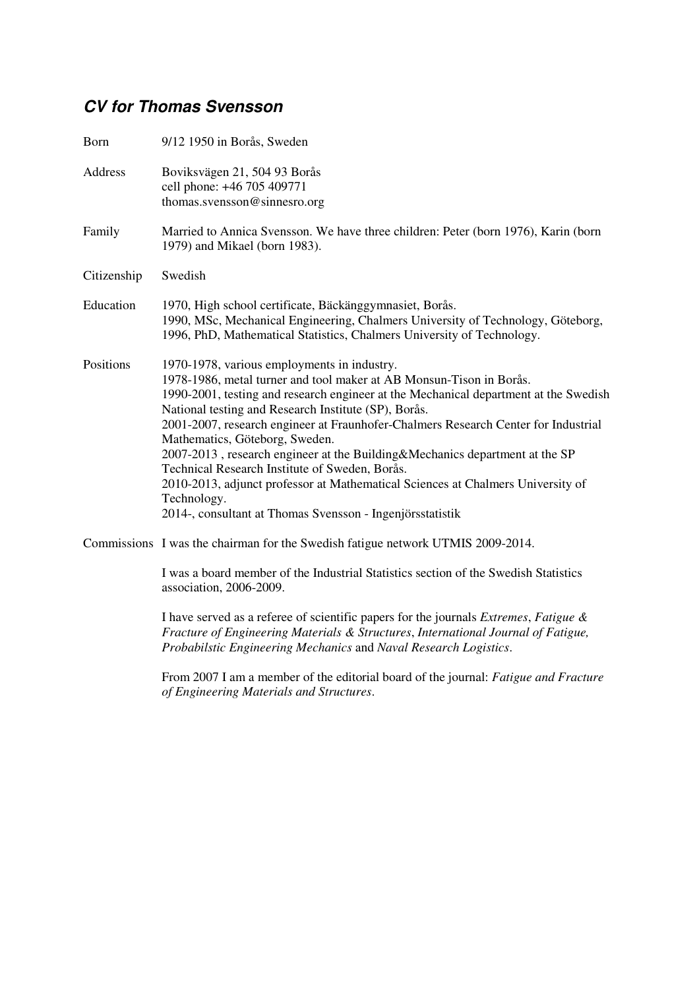## **CV for Thomas Svensson**

| Born        | 9/12 1950 in Borås, Sweden                                                                                                                                                                                                                                                                                                                                                                                                                                                                                                                                                                                                                                                                 |
|-------------|--------------------------------------------------------------------------------------------------------------------------------------------------------------------------------------------------------------------------------------------------------------------------------------------------------------------------------------------------------------------------------------------------------------------------------------------------------------------------------------------------------------------------------------------------------------------------------------------------------------------------------------------------------------------------------------------|
| Address     | Boviksvägen 21, 504 93 Borås<br>cell phone: +46 705 409771<br>thomas.svensson@sinnesro.org                                                                                                                                                                                                                                                                                                                                                                                                                                                                                                                                                                                                 |
| Family      | Married to Annica Svensson. We have three children: Peter (born 1976), Karin (born<br>1979) and Mikael (born 1983).                                                                                                                                                                                                                                                                                                                                                                                                                                                                                                                                                                        |
| Citizenship | Swedish                                                                                                                                                                                                                                                                                                                                                                                                                                                                                                                                                                                                                                                                                    |
| Education   | 1970, High school certificate, Bäckänggymnasiet, Borås.<br>1990, MSc, Mechanical Engineering, Chalmers University of Technology, Göteborg,<br>1996, PhD, Mathematical Statistics, Chalmers University of Technology.                                                                                                                                                                                                                                                                                                                                                                                                                                                                       |
| Positions   | 1970-1978, various employments in industry.<br>1978-1986, metal turner and tool maker at AB Monsun-Tison in Borås.<br>1990-2001, testing and research engineer at the Mechanical department at the Swedish<br>National testing and Research Institute (SP), Borås.<br>2001-2007, research engineer at Fraunhofer-Chalmers Research Center for Industrial<br>Mathematics, Göteborg, Sweden.<br>2007-2013, research engineer at the Building&Mechanics department at the SP<br>Technical Research Institute of Sweden, Borås.<br>2010-2013, adjunct professor at Mathematical Sciences at Chalmers University of<br>Technology.<br>2014-, consultant at Thomas Svensson - Ingenjörsstatistik |
|             | Commissions I was the chairman for the Swedish fatigue network UTMIS 2009-2014.                                                                                                                                                                                                                                                                                                                                                                                                                                                                                                                                                                                                            |
|             | I was a board member of the Industrial Statistics section of the Swedish Statistics<br>association, 2006-2009.                                                                                                                                                                                                                                                                                                                                                                                                                                                                                                                                                                             |
|             | I have served as a referee of scientific papers for the journals Extremes, Fatigue &<br>Fracture of Engineering Materials & Structures, International Journal of Fatigue,<br>Probabilstic Engineering Mechanics and Naval Research Logistics.                                                                                                                                                                                                                                                                                                                                                                                                                                              |
|             | From 2007 I am a member of the editorial board of the journal: <i>Fatigue and Fracture</i><br>of Engineering Materials and Structures.                                                                                                                                                                                                                                                                                                                                                                                                                                                                                                                                                     |